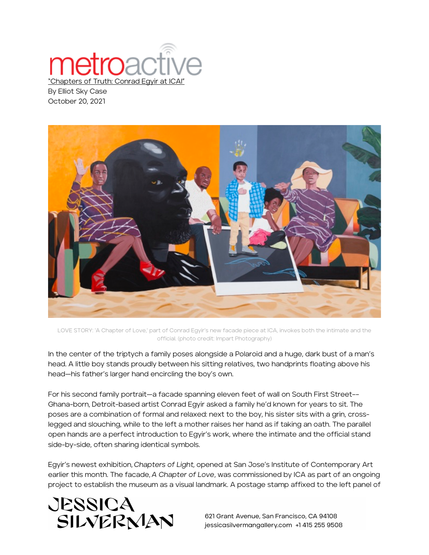## **netro**act "Chapters of Truth: Conrad Egyir

By Elliot Sky Case October 20, 2021



LOVE STORY: 'A Chapter of Love,' part of Conrad Egyir's new facade piece at ICA, invokes both the intimate and the official. (photo credit: Impart Photography)

In the center of the triptych a family poses alongside a Polaroid and a huge, dark bust of a man's head. A little boy stands proudly between his sitting relatives, two handprints floating above his head—his father's larger hand encircling the boy's own.

For his second family portrait—a facade spanning eleven feet of wall on South First Street–– Ghana-born, Detroit-based artist Conrad Egyir asked a family he'd known for years to sit. The poses are a combination of formal and relaxed: next to the boy, his sister sits with a grin, crosslegged and slouching, while to the left a mother raises her hand as if taking an oath. The parallel open hands are a perfect introduction to Egyir's work, where the intimate and the official stand side-by-side, often sharing identical symbols.

Egyir's newest exhibition, *Chapters of Light,* opened at San Jose's Institute of Contemporary Art earlier this month. The facade, *A Chapter of Love*, was commissioned by ICA as part of an ongoing project to establish the museum as a visual landmark. A postage stamp affixed to the left panel of



621 Grant Avenue, San Francisco, CA 94108 jessicasilvermangallery.com +1 415 255 9508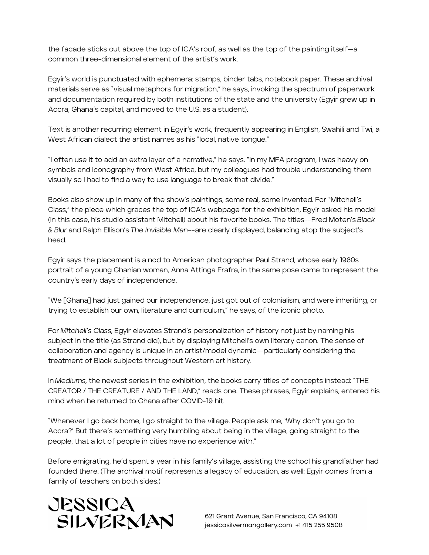the facade sticks out above the top of ICA's roof, as well as the top of the painting itself—a common three-dimensional element of the artist's work.

Egyir's world is punctuated with ephemera: stamps, binder tabs, notebook paper. These archival materials serve as "visual metaphors for migration," he says, invoking the spectrum of paperwork and documentation required by both institutions of the state and the university (Egyir grew up in Accra, Ghana's capital, and moved to the U.S. as a student).

Text is another recurring element in Egyir's work, frequently appearing in English, Swahili and Twi, a West African dialect the artist names as his "local, native tongue."

"I often use it to add an extra layer of a narrative," he says. "In my MFA program, I was heavy on symbols and iconography from West Africa, but my colleagues had trouble understanding them visually so I had to find a way to use language to break that divide."

Books also show up in many of the show's paintings, some real, some invented. For "Mitchell's Class," the piece which graces the top of ICA's webpage for the exhibition, Egyir asked his model (in this case, his studio assistant Mitchell) about his favorite books. The titles––Fred Moten's *Black & Blur* and Ralph Ellison's *The Invisible Man––*are clearly displayed, balancing atop the subject's head.

Egyir says the placement is a nod to American photographer Paul Strand, whose early 1960s portrait of a young Ghanian woman, Anna Attinga Frafra, in the same pose came to represent the country's early days of independence.

"We [Ghana] had just gained our independence, just got out of colonialism, and were inheriting, or trying to establish our own, literature and curriculum," he says, of the iconic photo.

For *Mitchell's Class,* Egyir elevates Strand's personalization of history not just by naming his subject in the title (as Strand did), but by displaying Mitchell's own literary canon. The sense of collaboration and agency is unique in an artist/model dynamic––particularly considering the treatment of Black subjects throughout Western art history.

In *Mediums,* the newest series in the exhibition, the books carry titles of concepts instead: "THE CREATOR / THE CREATURE / AND THE LAND," reads one. These phrases, Egyir explains, entered his mind when he returned to Ghana after COVID-19 hit.

"Whenever I go back home, I go straight to the village. People ask me, 'Why don't you go to Accra?' But there's something very humbling about being in the village, going straight to the people, that a lot of people in cities have no experience with."

Before emigrating, he'd spent a year in his family's village, assisting the school his grandfather had founded there. (The archival motif represents a legacy of education, as well: Egyir comes from a family of teachers on both sides.)



621 Grant Avenue, San Francisco, CA 94108 jessicasilvermangallery.com +1 415 255 9508